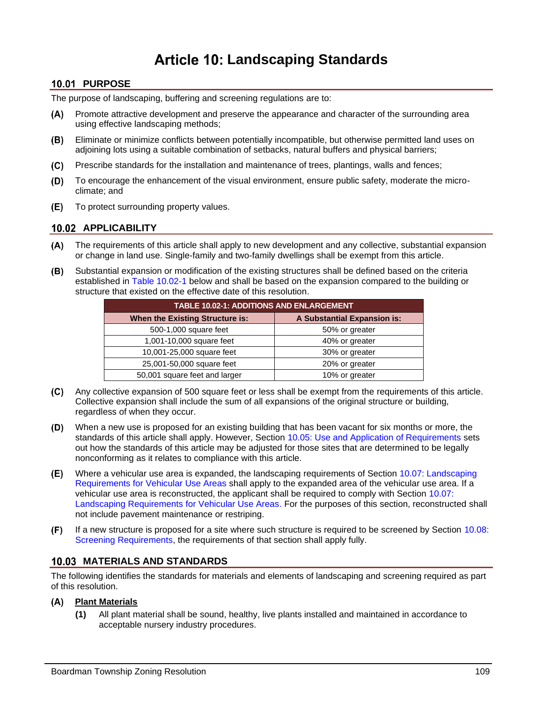# **Landscaping Standards**

# **10.01 PURPOSE**

The purpose of landscaping, buffering and screening regulations are to:

- Promote attractive development and preserve the appearance and character of the surrounding area (A) using effective landscaping methods;
- $(B)$ Eliminate or minimize conflicts between potentially incompatible, but otherwise permitted land uses on adjoining lots using a suitable combination of setbacks, natural buffers and physical barriers;
- $(C)$ Prescribe standards for the installation and maintenance of trees, plantings, walls and fences;
- $(D)$ To encourage the enhancement of the visual environment, ensure public safety, moderate the microclimate; and
- To protect surrounding property values. (E) -

# **APPLICABILITY**

- The requirements of this article shall apply to new development and any collective, substantial expansion or change in land use. Single-family and two-family dwellings shall be exempt from this article.
- (B) Substantial expansion or modification of the existing structures shall be defined based on the criteria established in [Table 10.02-1](#page-0-0) below and shall be based on the expansion compared to the building or structure that existed on the effective date of this resolution.

<span id="page-0-0"></span>

| <b>TABLE 10.02-1: ADDITIONS AND ENLARGEMENT</b> |                                    |  |  |  |  |
|-------------------------------------------------|------------------------------------|--|--|--|--|
| <b>When the Existing Structure is:</b>          | <b>A Substantial Expansion is:</b> |  |  |  |  |
| 500-1,000 square feet                           | 50% or greater                     |  |  |  |  |
| 1,001-10,000 square feet                        | 40% or greater                     |  |  |  |  |
| 10,001-25,000 square feet                       | 30% or greater                     |  |  |  |  |
| 25,001-50,000 square feet                       | 20% or greater                     |  |  |  |  |
| 50,001 square feet and larger                   | 10% or greater                     |  |  |  |  |

- Any collective expansion of 500 square feet or less shall be exempt from the requirements of this article. Collective expansion shall include the sum of all expansions of the original structure or building, regardless of when they occur.
- $(D)$ When a new use is proposed for an existing building that has been vacant for six months or more, the standards of this article shall apply. However, Section [10.05: Use and Application of Requirements](#page-2-0) sets out how the standards of this article may be adjusted for those sites that are determined to be legally nonconforming as it relates to compliance with this article.
- $(E)$ Where a vehicular use area is expanded, the landscaping requirements of Section 10.07: Landscaping [Requirements for Vehicular Use Areas](#page-6-0) shall apply to the expanded area of the vehicular use area. If a vehicular use area is reconstructed, the applicant shall be required to comply with Section [10.07:](#page-6-0) [Landscaping Requirements for Vehicular Use Areas.](#page-6-0) For the purposes of this section, reconstructed shall not include pavement maintenance or restriping.
- $(F)$ If a new structure is proposed for a site where such structure is required to be screened by Section [10.08:](#page-7-0) [Screening Requirements,](#page-7-0) the requirements of that section shall apply fully.

# **MATERIALS AND STANDARDS**

The following identifies the standards for materials and elements of landscaping and screening required as part of this resolution.

# **Plant Materials**

**(1)** All plant material shall be sound, healthy, live plants installed and maintained in accordance to acceptable nursery industry procedures.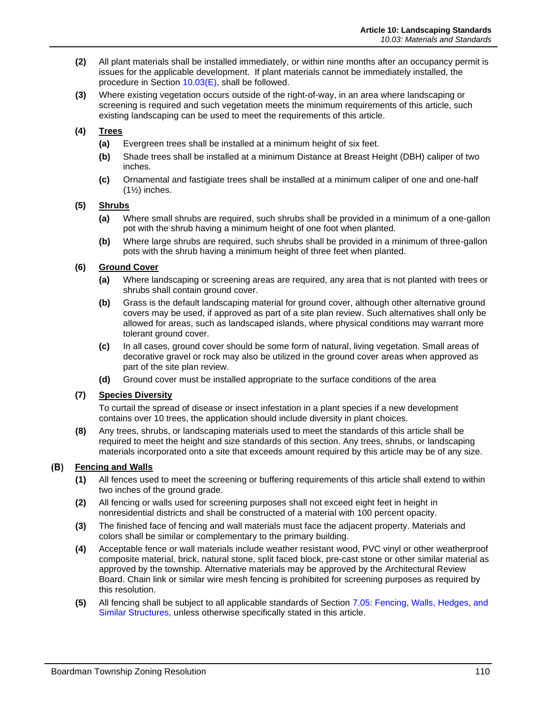- **(2)** All plant materials shall be installed immediately, or within nine months after an occupancy permit is issues for the applicable development. If plant materials cannot be immediately installed, the procedure in Section [10.03\(E\),](#page-2-1) shall be followed.
- **(3)** Where existing vegetation occurs outside of the right-of-way, in an area where landscaping or screening is required and such vegetation meets the minimum requirements of this article, such existing landscaping can be used to meet the requirements of this article.

# **(4) Trees**

- **(a)** Evergreen trees shall be installed at a minimum height of six feet.
- **(b)** Shade trees shall be installed at a minimum Distance at Breast Height (DBH) caliper of two inches.
- **(c)** Ornamental and fastigiate trees shall be installed at a minimum caliper of one and one-half (1½) inches.

### **(5) Shrubs**

- **(a)** Where small shrubs are required, such shrubs shall be provided in a minimum of a one-gallon pot with the shrub having a minimum height of one foot when planted.
- **(b)** Where large shrubs are required, such shrubs shall be provided in a minimum of three-gallon pots with the shrub having a minimum height of three feet when planted.

### **(6) Ground Cover**

- **(a)** Where landscaping or screening areas are required, any area that is not planted with trees or shrubs shall contain ground cover.
- **(b)** Grass is the default landscaping material for ground cover, although other alternative ground covers may be used, if approved as part of a site plan review. Such alternatives shall only be allowed for areas, such as landscaped islands, where physical conditions may warrant more tolerant ground cover.
- **(c)** In all cases, ground cover should be some form of natural, living vegetation. Small areas of decorative gravel or rock may also be utilized in the ground cover areas when approved as part of the site plan review.
- **(d)** Ground cover must be installed appropriate to the surface conditions of the area

# **(7) Species Diversity**

To curtail the spread of disease or insect infestation in a plant species if a new development contains over 10 trees, the application should include diversity in plant choices.

**(8)** Any trees, shrubs, or landscaping materials used to meet the standards of this article shall be required to meet the height and size standards of this section. Any trees, shrubs, or landscaping materials incorporated onto a site that exceeds amount required by this article may be of any size.

# **Fencing and Walls**

- **(1)** All fences used to meet the screening or buffering requirements of this article shall extend to within two inches of the ground grade.
- **(2)** All fencing or walls used for screening purposes shall not exceed eight feet in height in nonresidential districts and shall be constructed of a material with 100 percent opacity.
- **(3)** The finished face of fencing and wall materials must face the adjacent property. Materials and colors shall be similar or complementary to the primary building.
- **(4)** Acceptable fence or wall materials include weather resistant wood, PVC vinyl or other weatherproof composite material, brick, natural stone, split faced block, pre-cast stone or other similar material as approved by the township. Alternative materials may be approved by the Architectural Review Board. Chain link or similar wire mesh fencing is prohibited for screening purposes as required by this resolution.
- **(5)** All fencing shall be subject to all applicable standards of Section 7.05: Fencing, Walls, Hedges, and Similar Structures, unless otherwise specifically stated in this article.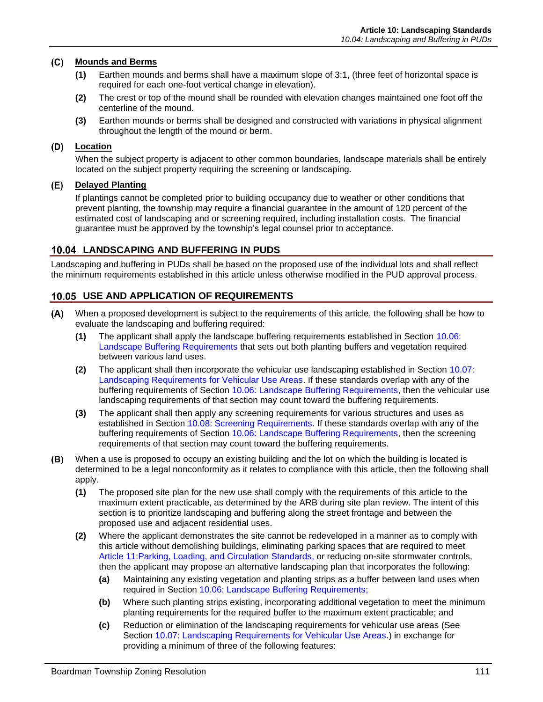### **Mounds and Berms**

- **(1)** Earthen mounds and berms shall have a maximum slope of 3:1, (three feet of horizontal space is required for each one-foot vertical change in elevation).
- **(2)** The crest or top of the mound shall be rounded with elevation changes maintained one foot off the centerline of the mound.
- **(3)** Earthen mounds or berms shall be designed and constructed with variations in physical alignment throughout the length of the mound or berm.

## **Location**

When the subject property is adjacent to other common boundaries, landscape materials shall be entirely located on the subject property requiring the screening or landscaping.

### <span id="page-2-1"></span>**Delayed Planting**

If plantings cannot be completed prior to building occupancy due to weather or other conditions that prevent planting, the township may require a financial guarantee in the amount of 120 percent of the estimated cost of landscaping and or screening required, including installation costs. The financial guarantee must be approved by the township's legal counsel prior to acceptance.

# **10.04 LANDSCAPING AND BUFFERING IN PUDS**

Landscaping and buffering in PUDs shall be based on the proposed use of the individual lots and shall reflect the minimum requirements established in this article unless otherwise modified in the PUD approval process.

# <span id="page-2-0"></span>**10.05 USE AND APPLICATION OF REQUIREMENTS**

- When a proposed development is subject to the requirements of this article, the following shall be how to  $(A)$ evaluate the landscaping and buffering required:
	- **(1)** The applicant shall apply the landscape buffering requirements established in Section [10.06:](#page-3-0) [Landscape Buffering Requirements](#page-3-0) that sets out both planting buffers and vegetation required between various land uses.
	- **(2)** The applicant shall then incorporate the vehicular use landscaping established in Section [10.07:](#page-6-0) [Landscaping Requirements for Vehicular Use Areas.](#page-6-0) If these standards overlap with any of the buffering requirements of Section [10.06: Landscape Buffering Requirements,](#page-3-0) then the vehicular use landscaping requirements of that section may count toward the buffering requirements.
	- **(3)** The applicant shall then apply any screening requirements for various structures and uses as established in Section [10.08: Screening Requirements.](#page-7-0) If these standards overlap with any of the buffering requirements of Section [10.06: Landscape Buffering Requirements,](#page-3-0) then the screening requirements of that section may count toward the buffering requirements.
- When a use is proposed to occupy an existing building and the lot on which the building is located is (B) determined to be a legal nonconformity as it relates to compliance with this article, then the following shall apply.
	- **(1)** The proposed site plan for the new use shall comply with the requirements of this article to the maximum extent practicable, as determined by the ARB during site plan review. The intent of this section is to prioritize landscaping and buffering along the street frontage and between the proposed use and adjacent residential uses.
	- **(2)** Where the applicant demonstrates the site cannot be redeveloped in a manner as to comply with this article without demolishing buildings, eliminating parking spaces that are required to meet Article 11:Parking, Loading, and Circulation Standards, or reducing on-site stormwater controls, then the applicant may propose an alternative landscaping plan that incorporates the following:
		- **(a)** Maintaining any existing vegetation and planting strips as a buffer between land uses when required in Section [10.06: Landscape Buffering Requirements;](#page-3-0)
		- **(b)** Where such planting strips existing, incorporating additional vegetation to meet the minimum planting requirements for the required buffer to the maximum extent practicable; and
		- **(c)** Reduction or elimination of the landscaping requirements for vehicular use areas (See Section [10.07: Landscaping Requirements for Vehicular Use Areas.](#page-6-0)) in exchange for providing a minimum of three of the following features: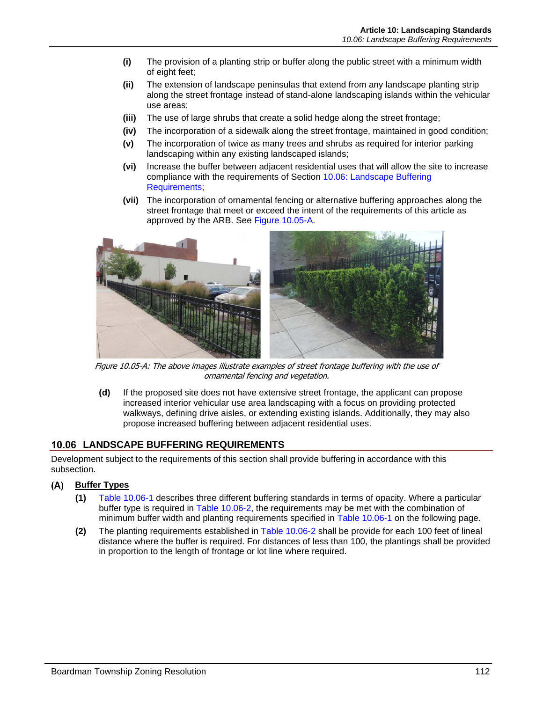- **(i)** The provision of a planting strip or buffer along the public street with a minimum width of eight feet;
- **(ii)** The extension of landscape peninsulas that extend from any landscape planting strip along the street frontage instead of stand-alone landscaping islands within the vehicular use areas;
- **(iii)** The use of large shrubs that create a solid hedge along the street frontage;
- **(iv)** The incorporation of a sidewalk along the street frontage, maintained in good condition;
- **(v)** The incorporation of twice as many trees and shrubs as required for interior parking landscaping within any existing landscaped islands;
- **(vi)** Increase the buffer between adjacent residential uses that will allow the site to increase compliance with the requirements of Section [10.06: Landscape Buffering](#page-3-0)  [Requirements;](#page-3-0)
- **(vii)** The incorporation of ornamental fencing or alternative buffering approaches along the street frontage that meet or exceed the intent of the requirements of this article as approved by the ARB. See [Figure 10.05-A.](#page-3-1)



Figure 10.05-A: The above images illustrate examples of street frontage buffering with the use of ornamental fencing and vegetation.

<span id="page-3-1"></span>**(d)** If the proposed site does not have extensive street frontage, the applicant can propose increased interior vehicular use area landscaping with a focus on providing protected walkways, defining drive aisles, or extending existing islands. Additionally, they may also propose increased buffering between adjacent residential uses.

# <span id="page-3-0"></span>**LANDSCAPE BUFFERING REQUIREMENTS**

Development subject to the requirements of this section shall provide buffering in accordance with this subsection.

- **Buffer Types**
	- **(1)** [Table 10.06-1](#page-4-0) describes three different buffering standards in terms of opacity. Where a particular buffer type is required in [Table 10.06-2,](#page-5-0) the requirements may be met with the combination of minimum buffer width and planting requirements specified in [Table 10.06-1](#page-4-0) on the following page.
	- **(2)** The planting requirements established in [Table 10.06-2](#page-5-0) shall be provide for each 100 feet of lineal distance where the buffer is required. For distances of less than 100, the plantings shall be provided in proportion to the length of frontage or lot line where required.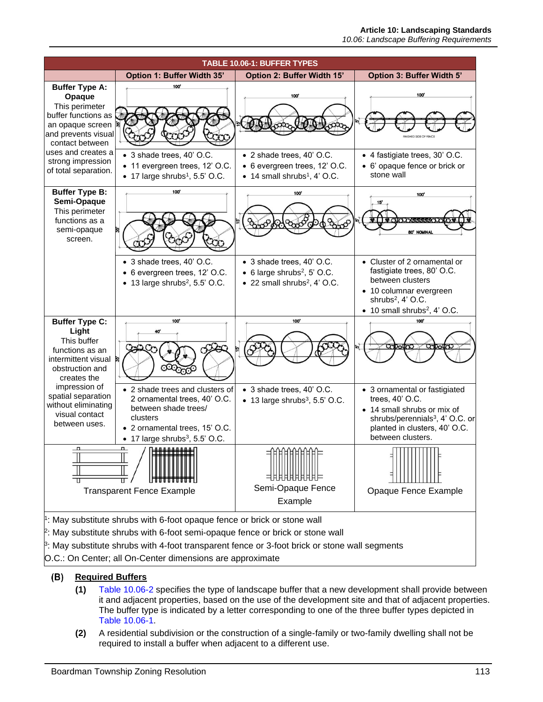<span id="page-4-0"></span>

#### (B) **Required Buffers**

- **(1)** [Table 10.06-2](#page-5-0) specifies the type of landscape buffer that a new development shall provide between it and adjacent properties, based on the use of the development site and that of adjacent properties. The buffer type is indicated by a letter corresponding to one of the three buffer types depicted in [Table 10.06-1.](#page-4-0)
- **(2)** A residential subdivision or the construction of a single-family or two-family dwelling shall not be required to install a buffer when adjacent to a different use.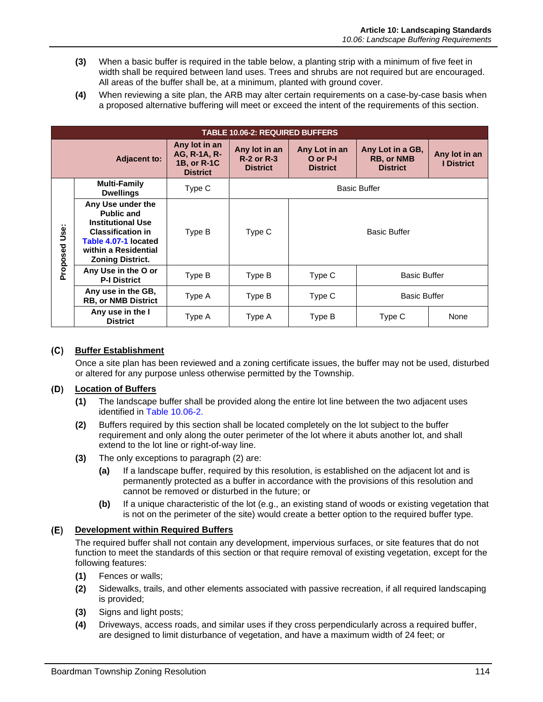- **(3)** When a basic buffer is required in the table below, a planting strip with a minimum of five feet in width shall be required between land uses. Trees and shrubs are not required but are encouraged. All areas of the buffer shall be, at a minimum, planted with ground cover.
- **(4)** When reviewing a site plan, the ARB may alter certain requirements on a case-by-case basis when a proposed alternative buffering will meet or exceed the intent of the requirements of this section.

<span id="page-5-0"></span>

| <b>TABLE 10.06-2: REQUIRED BUFFERS</b> |                                                                                                                                                                           |                                                                 |                                                       |                                              |                                                          |                                    |  |  |
|----------------------------------------|---------------------------------------------------------------------------------------------------------------------------------------------------------------------------|-----------------------------------------------------------------|-------------------------------------------------------|----------------------------------------------|----------------------------------------------------------|------------------------------------|--|--|
| <b>Adjacent to:</b>                    |                                                                                                                                                                           | Any lot in an<br>AG, R-1A, R-<br>1B, or R-1C<br><b>District</b> | Any lot in an<br><b>R-2 or R-3</b><br><b>District</b> | Any Lot in an<br>O or P-I<br><b>District</b> | Any Lot in a GB,<br><b>RB, or NMB</b><br><b>District</b> | Any lot in an<br><b>I</b> District |  |  |
|                                        | <b>Multi-Family</b><br><b>Dwellings</b>                                                                                                                                   | Type C                                                          | <b>Basic Buffer</b>                                   |                                              |                                                          |                                    |  |  |
| üse:<br>Proposed                       | Any Use under the<br><b>Public and</b><br><b>Institutional Use</b><br><b>Classification in</b><br>Table 4.07-1 located<br>within a Residential<br><b>Zoning District.</b> | Type B                                                          | Type C                                                | <b>Basic Buffer</b>                          |                                                          |                                    |  |  |
|                                        | Any Use in the O or<br><b>P-I District</b>                                                                                                                                | Type B                                                          | Type B                                                | Type C                                       | <b>Basic Buffer</b>                                      |                                    |  |  |
|                                        | Any use in the GB,<br><b>RB, or NMB District</b>                                                                                                                          | Type A                                                          | Type B                                                | Type C                                       | <b>Basic Buffer</b>                                      |                                    |  |  |
|                                        | Any use in the I<br><b>District</b>                                                                                                                                       | Type A                                                          | Type A                                                | Type B                                       | Type C                                                   | None                               |  |  |

# **Buffer Establishment**

Once a site plan has been reviewed and a zoning certificate issues, the buffer may not be used, disturbed or altered for any purpose unless otherwise permitted by the Township.

# **Location of Buffers**

- **(1)** The landscape buffer shall be provided along the entire lot line between the two adjacent uses identified in [Table 10.06-2.](#page-5-0)
- **(2)** Buffers required by this section shall be located completely on the lot subject to the buffer requirement and only along the outer perimeter of the lot where it abuts another lot, and shall extend to the lot line or right-of-way line.
- **(3)** The only exceptions to paragraph (2) are:
	- **(a)** If a landscape buffer, required by this resolution, is established on the adjacent lot and is permanently protected as a buffer in accordance with the provisions of this resolution and cannot be removed or disturbed in the future; or
	- **(b)** If a unique characteristic of the lot (e.g., an existing stand of woods or existing vegetation that is not on the perimeter of the site) would create a better option to the required buffer type.

# **Development within Required Buffers**

The required buffer shall not contain any development, impervious surfaces, or site features that do not function to meet the standards of this section or that require removal of existing vegetation, except for the following features:

- **(1)** Fences or walls;
- **(2)** Sidewalks, trails, and other elements associated with passive recreation, if all required landscaping is provided;
- **(3)** Signs and light posts;
- **(4)** Driveways, access roads, and similar uses if they cross perpendicularly across a required buffer, are designed to limit disturbance of vegetation, and have a maximum width of 24 feet; or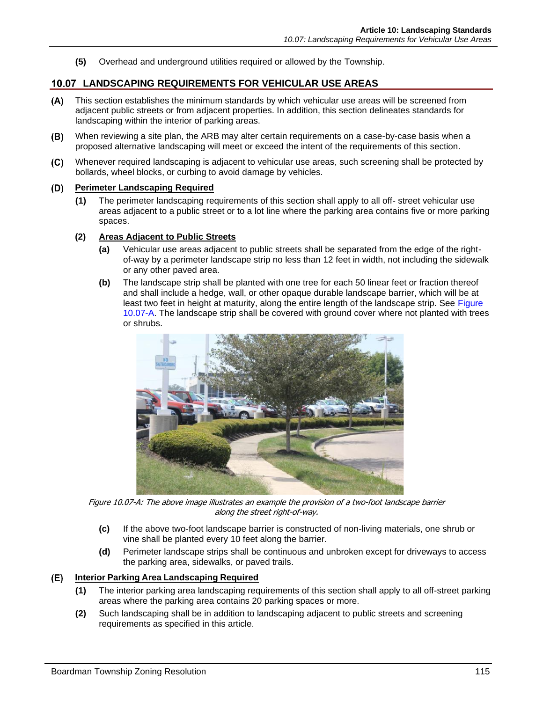**(5)** Overhead and underground utilities required or allowed by the Township.

# <span id="page-6-0"></span>**LANDSCAPING REQUIREMENTS FOR VEHICULAR USE AREAS**

- $(A)$ This section establishes the minimum standards by which vehicular use areas will be screened from adjacent public streets or from adjacent properties. In addition, this section delineates standards for landscaping within the interior of parking areas.
- $(B)$ When reviewing a site plan, the ARB may alter certain requirements on a case-by-case basis when a proposed alternative landscaping will meet or exceed the intent of the requirements of this section.
- $(C)$ Whenever required landscaping is adjacent to vehicular use areas, such screening shall be protected by bollards, wheel blocks, or curbing to avoid damage by vehicles.

#### <span id="page-6-2"></span>**Perimeter Landscaping Required**  $(D)$

- **(1)** The perimeter landscaping requirements of this section shall apply to all off- street vehicular use areas adjacent to a public street or to a lot line where the parking area contains five or more parking spaces.
- **(2) Areas Adjacent to Public Streets**
	- **(a)** Vehicular use areas adjacent to public streets shall be separated from the edge of the rightof-way by a perimeter landscape strip no less than 12 feet in width, not including the sidewalk or any other paved area.
	- **(b)** The landscape strip shall be planted with one tree for each 50 linear feet or fraction thereof and shall include a hedge, wall, or other opaque durable landscape barrier, which will be at least two feet in height at maturity, along the entire length of the landscape strip. See Figure [10.07-A.](#page-6-1) The landscape strip shall be covered with ground cover where not planted with trees or shrubs.



Figure 10.07-A: The above image illustrates an example the provision of a two-foot landscape barrier along the street right-of-way.

- <span id="page-6-1"></span>**(c)** If the above two-foot landscape barrier is constructed of non-living materials, one shrub or vine shall be planted every 10 feet along the barrier.
- **(d)** Perimeter landscape strips shall be continuous and unbroken except for driveways to access the parking area, sidewalks, or paved trails.

# **Interior Parking Area Landscaping Required**

- **(1)** The interior parking area landscaping requirements of this section shall apply to all off-street parking areas where the parking area contains 20 parking spaces or more.
- **(2)** Such landscaping shall be in addition to landscaping adjacent to public streets and screening requirements as specified in this article.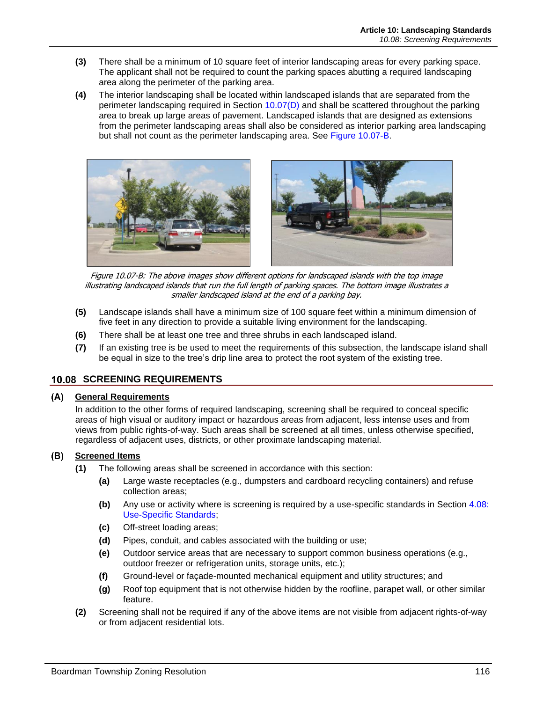- **(3)** There shall be a minimum of 10 square feet of interior landscaping areas for every parking space. The applicant shall not be required to count the parking spaces abutting a required landscaping area along the perimeter of the parking area.
- **(4)** The interior landscaping shall be located within landscaped islands that are separated from the perimeter landscaping required in Section [10.07\(D\)](#page-6-2) and shall be scattered throughout the parking area to break up large areas of pavement. Landscaped islands that are designed as extensions from the perimeter landscaping areas shall also be considered as interior parking area landscaping but shall not count as the perimeter landscaping area. See [Figure 10.07-B.](#page-7-1)



Figure 10.07-B: The above images show different options for landscaped islands with the top image illustrating landscaped islands that run the full length of parking spaces. The bottom image illustrates a smaller landscaped island at the end of a parking bay.

- <span id="page-7-1"></span>**(5)** Landscape islands shall have a minimum size of 100 square feet within a minimum dimension of five feet in any direction to provide a suitable living environment for the landscaping.
- **(6)** There shall be at least one tree and three shrubs in each landscaped island.
- **(7)** If an existing tree is be used to meet the requirements of this subsection, the landscape island shall be equal in size to the tree's drip line area to protect the root system of the existing tree.

# <span id="page-7-0"></span>**10.08 SCREENING REQUIREMENTS**

## **General Requirements**

In addition to the other forms of required landscaping, screening shall be required to conceal specific areas of high visual or auditory impact or hazardous areas from adjacent, less intense uses and from views from public rights-of-way. Such areas shall be screened at all times, unless otherwise specified, regardless of adjacent uses, districts, or other proximate landscaping material.

# **Screened Items**

- **(1)** The following areas shall be screened in accordance with this section:
	- **(a)** Large waste receptacles (e.g., dumpsters and cardboard recycling containers) and refuse collection areas;
	- **(b)** Any use or activity where is screening is required by a use-specific standards in Section 4.08: Use-Specific Standards;
	- **(c)** Off-street loading areas;
	- **(d)** Pipes, conduit, and cables associated with the building or use;
	- **(e)** Outdoor service areas that are necessary to support common business operations (e.g., outdoor freezer or refrigeration units, storage units, etc.);
	- **(f)** Ground-level or façade-mounted mechanical equipment and utility structures; and
	- **(g)** Roof top equipment that is not otherwise hidden by the roofline, parapet wall, or other similar feature.
- **(2)** Screening shall not be required if any of the above items are not visible from adjacent rights-of-way or from adjacent residential lots.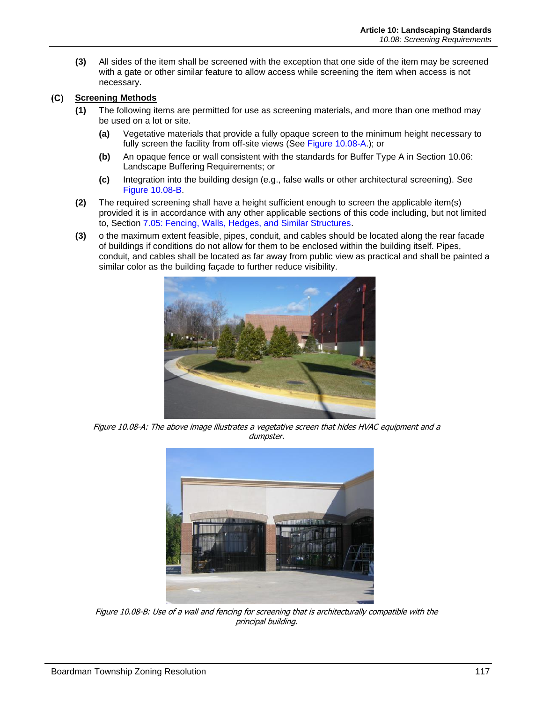**(3)** All sides of the item shall be screened with the exception that one side of the item may be screened with a gate or other similar feature to allow access while screening the item when access is not necessary.

#### $(C)$ **Screening Methods**

- **(1)** The following items are permitted for use as screening materials, and more than one method may be used on a lot or site.
	- **(a)** Vegetative materials that provide a fully opaque screen to the minimum height necessary to fully screen the facility from off-site views (See [Figure 10.08-A.](#page-8-0)); or
	- **(b)** An opaque fence or wall consistent with the standards for Buffer Type A in Section [10.06:](#page-3-0) [Landscape Buffering Requirements;](#page-3-0) or
	- **(c)** Integration into the building design (e.g., false walls or other architectural screening). See [Figure 10.08-B.](#page-8-1)
- **(2)** The required screening shall have a height sufficient enough to screen the applicable item(s) provided it is in accordance with any other applicable sections of this code including, but not limited to, Section 7.05: Fencing, Walls, Hedges, and Similar Structures.
- **(3)** o the maximum extent feasible, pipes, conduit, and cables should be located along the rear facade of buildings if conditions do not allow for them to be enclosed within the building itself. Pipes, conduit, and cables shall be located as far away from public view as practical and shall be painted a similar color as the building façade to further reduce visibility.



Figure 10.08-A: The above image illustrates a vegetative screen that hides HVAC equipment and a dumpster.

<span id="page-8-1"></span><span id="page-8-0"></span>

Figure 10.08-B: Use of a wall and fencing for screening that is architecturally compatible with the principal building.